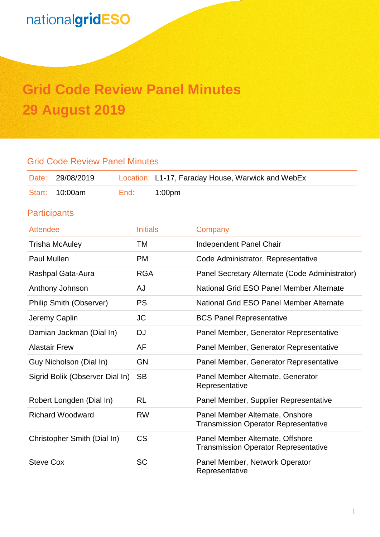# **Grid Code Review Panel Minutes 29 August 2019**

### Grid Code Review Panel Minutes Date: 29/08/2019 Location: L1-17, Faraday House, Warwick and WebEx Start: 10:00am End: 1:00pm **Participants** Attendee **Initials** Company Trisha McAuley TM Independent Panel Chair Paul Mullen **PM** Code Administrator, Representative Rashpal Gata-Aura **RGA** Panel Secretary Alternate (Code Administrator) Anthony Johnson **AJ** Anthony Johnson AJ National Grid ESO Panel Member Alternate Philip Smith (Observer) PS National Grid ESO Panel Member Alternate Jeremy Caplin JC BCS Panel Representative Damian Jackman (Dial In) DJ Panel Member, Generator Representative Alastair Frew **AF** AF Panel Member, Generator Representative Guy Nicholson (Dial In) GN Panel Member, Generator Representative Sigrid Bolik (Observer Dial In) SB Panel Member Alternate, Generator Representative Robert Longden (Dial In) RL Panel Member, Supplier Representative Richard Woodward RW Panel Member Alternate, Onshore Transmission Operator Representative Christopher Smith (Dial In) CS Panel Member Alternate, Offshore Transmission Operator Representative Steve Cox **SC** Ranel Member, Network Operator Representative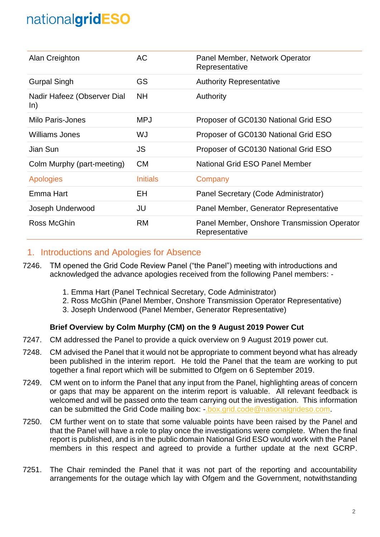| Alan Creighton                     | AC              | Panel Member, Network Operator<br>Representative              |
|------------------------------------|-----------------|---------------------------------------------------------------|
| <b>Gurpal Singh</b>                | GS              | <b>Authority Representative</b>                               |
| Nadir Hafeez (Observer Dial<br>ln) | <b>NH</b>       | Authority                                                     |
| Milo Paris-Jones                   | <b>MPJ</b>      | Proposer of GC0130 National Grid ESO                          |
| Williams Jones                     | WJ              | Proposer of GC0130 National Grid ESO                          |
| Jian Sun                           | <b>JS</b>       | Proposer of GC0130 National Grid ESO                          |
| Colm Murphy (part-meeting)         | <b>CM</b>       | National Grid ESO Panel Member                                |
| <b>Apologies</b>                   | <b>Initials</b> | Company                                                       |
| Emma Hart                          | EH              | Panel Secretary (Code Administrator)                          |
| Joseph Underwood                   | JU              | Panel Member, Generator Representative                        |
| Ross McGhin                        | <b>RM</b>       | Panel Member, Onshore Transmission Operator<br>Representative |

### 1. Introductions and Apologies for Absence

- 7246. TM opened the Grid Code Review Panel ("the Panel") meeting with introductions and acknowledged the advance apologies received from the following Panel members: -
	- 1. Emma Hart (Panel Technical Secretary, Code Administrator)
	- 2. Ross McGhin (Panel Member, Onshore Transmission Operator Representative)
	- 3. Joseph Underwood (Panel Member, Generator Representative)

#### **Brief Overview by Colm Murphy (CM) on the 9 August 2019 Power Cut**

- 7247. CM addressed the Panel to provide a quick overview on 9 August 2019 power cut.
- 7248. CM advised the Panel that it would not be appropriate to comment beyond what has already been published in the interim report. He told the Panel that the team are working to put together a final report which will be submitted to Ofgem on 6 September 2019.
- 7249. CM went on to inform the Panel that any input from the Panel, highlighting areas of concern or gaps that may be apparent on the interim report is valuable. All relevant feedback is welcomed and will be passed onto the team carrying out the investigation. This information can be submitted the Grid Code mailing box: [-.box.grid.code@nationalgrideso.com.](mailto:.box.grid.code@nationalgrideso.com)
- 7250. CM further went on to state that some valuable points have been raised by the Panel and that the Panel will have a role to play once the investigations were complete. When the final report is published, and is in the public domain National Grid ESO would work with the Panel members in this respect and agreed to provide a further update at the next GCRP.
- 7251. The Chair reminded the Panel that it was not part of the reporting and accountability arrangements for the outage which lay with Ofgem and the Government, notwithstanding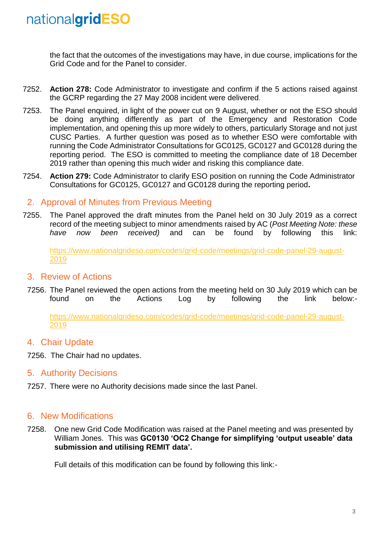the fact that the outcomes of the investigations may have, in due course, implications for the Grid Code and for the Panel to consider.

- 7252. **Action 278:** Code Administrator to investigate and confirm if the 5 actions raised against the GCRP regarding the 27 May 2008 incident were delivered.
- 7253. The Panel enquired, in light of the power cut on 9 August, whether or not the ESO should be doing anything differently as part of the Emergency and Restoration Code implementation, and opening this up more widely to others, particularly Storage and not just CUSC Parties. A further question was posed as to whether ESO were comfortable with running the Code Administrator Consultations for GC0125, GC0127 and GC0128 during the reporting period. The ESO is committed to meeting the compliance date of 18 December 2019 rather than opening this much wider and risking this compliance date.
- 7254. **Action 279:** Code Administrator to clarify ESO position on running the Code Administrator Consultations for GC0125, GC0127 and GC0128 during the reporting period**.**

### 2. Approval of Minutes from Previous Meeting

7255. The Panel approved the draft minutes from the Panel held on 30 July 2019 as a correct record of the meeting subject to minor amendments raised by AC (*Post Meeting Note: these have now been received)* and can be found by following this link:

[https://www.nationalgrideso.com/codes/grid-code/meetings/grid-code-panel-29-august-](https://www.nationalgrideso.com/codes/grid-code/meetings/grid-code-panel-29-august-2019)[2019](https://www.nationalgrideso.com/codes/grid-code/meetings/grid-code-panel-29-august-2019)

#### 3. Review of Actions

7256. The Panel reviewed the open actions from the meeting held on 30 July 2019 which can be found on the Actions Log by following the link below:-

[https://www.nationalgrideso.com/codes/grid-code/meetings/grid-code-panel-29-august-](https://www.nationalgrideso.com/codes/grid-code/meetings/grid-code-panel-29-august-2019)[2019](https://www.nationalgrideso.com/codes/grid-code/meetings/grid-code-panel-29-august-2019)

#### 4. Chair Update

7256. The Chair had no updates.

#### 5. Authority Decisions

7257. There were no Authority decisions made since the last Panel.

#### 6. New Modifications

7258. One new Grid Code Modification was raised at the Panel meeting and was presented by William Jones. This was **GC0130 'OC2 Change for simplifying 'output useable' data submission and utilising REMIT data'.** 

Full details of this modification can be found by following this link:-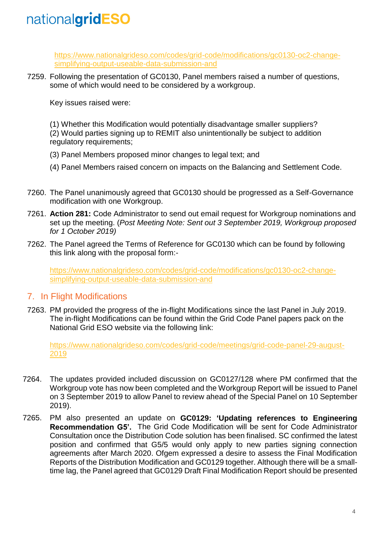[https://www.nationalgrideso.com/codes/grid-code/modifications/gc0130-oc2-change](https://www.nationalgrideso.com/codes/grid-code/modifications/gc0130-oc2-change-simplifying-output-useable-data-submission-and)[simplifying-output-useable-data-submission-and](https://www.nationalgrideso.com/codes/grid-code/modifications/gc0130-oc2-change-simplifying-output-useable-data-submission-and)

7259. Following the presentation of GC0130, Panel members raised a number of questions, some of which would need to be considered by a workgroup.

Key issues raised were:

(1) Whether this Modification would potentially disadvantage smaller suppliers? (2) Would parties signing up to REMIT also unintentionally be subject to addition regulatory requirements;

- (3) Panel Members proposed minor changes to legal text; and
- (4) Panel Members raised concern on impacts on the Balancing and Settlement Code.
- 7260. The Panel unanimously agreed that GC0130 should be progressed as a Self-Governance modification with one Workgroup.
- 7261. **Action 281:** Code Administrator to send out email request for Workgroup nominations and set up the meeting. (*Post Meeting Note: Sent out 3 September 2019, Workgroup proposed for 1 October 2019)*
- 7262. The Panel agreed the Terms of Reference for GC0130 which can be found by following this link along with the proposal form:-

[https://www.nationalgrideso.com/codes/grid-code/modifications/gc0130-oc2-change](https://www.nationalgrideso.com/codes/grid-code/modifications/gc0130-oc2-change-simplifying-output-useable-data-submission-and)[simplifying-output-useable-data-submission-and](https://www.nationalgrideso.com/codes/grid-code/modifications/gc0130-oc2-change-simplifying-output-useable-data-submission-and)

#### 7. In Flight Modifications

7263. PM provided the progress of the in-flight Modifications since the last Panel in July 2019. The in-flight Modifications can be found within the Grid Code Panel papers pack on the National Grid ESO website via the following link:

[https://www.nationalgrideso.com/codes/grid-code/meetings/grid-code-panel-29-august-](https://www.nationalgrideso.com/codes/grid-code/meetings/grid-code-panel-29-august-2019)[2019](https://www.nationalgrideso.com/codes/grid-code/meetings/grid-code-panel-29-august-2019)

- 7264. The updates provided included discussion on GC0127/128 where PM confirmed that the Workgroup vote has now been completed and the Workgroup Report will be issued to Panel on 3 September 2019 to allow Panel to review ahead of the Special Panel on 10 September 2019).
- 7265. PM also presented an update on **GC0129: 'Updating references to Engineering Recommendation G5'.** The Grid Code Modification will be sent for Code Administrator Consultation once the Distribution Code solution has been finalised. SC confirmed the latest position and confirmed that G5/5 would only apply to new parties signing connection agreements after March 2020. Ofgem expressed a desire to assess the Final Modification Reports of the Distribution Modification and GC0129 together. Although there will be a smalltime lag, the Panel agreed that GC0129 Draft Final Modification Report should be presented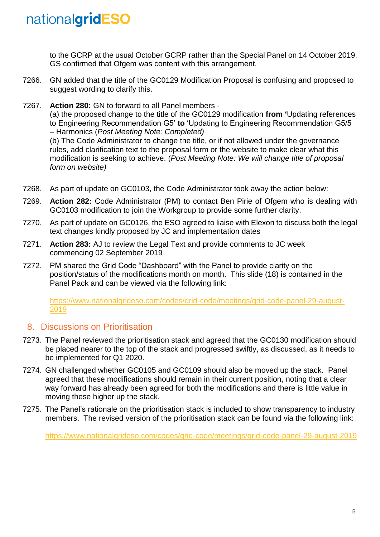*form on website)*

to the GCRP at the usual October GCRP rather than the Special Panel on 14 October 2019. GS confirmed that Ofgem was content with this arrangement.

- 7266. GN added that the title of the GC0129 Modification Proposal is confusing and proposed to suggest wording to clarify this.
- 7267. **Action 280:** GN to forward to all Panel members (a) the proposed change to the title of the GC0129 modification **from '**Updating references to Engineering Recommendation G5' **to** 'Updating to Engineering Recommendation G5/5 – Harmonics (*Post Meeting Note: Completed)* (b) The Code Administrator to change the title, or if not allowed under the governance rules, add clarification text to the proposal form or the website to make clear what this modification is seeking to achieve. (*Post Meeting Note: We will change title of proposal*
- 7268. As part of update on GC0103, the Code Administrator took away the action below:
- 7269. **Action 282:** Code Administrator (PM) to contact Ben Pirie of Ofgem who is dealing with GC0103 modification to join the Workgroup to provide some further clarity.
- 7270. As part of update on GC0126, the ESO agreed to liaise with Elexon to discuss both the legal text changes kindly proposed by JC and implementation dates
- 7271. **Action 283:** AJ to review the Legal Text and provide comments to JC week commencing 02 September 2019.
- 7272. PM shared the Grid Code "Dashboard" with the Panel to provide clarity on the position/status of the modifications month on month. This slide (18) is contained in the Panel Pack and can be viewed via the following link:

[https://www.nationalgrideso.com/codes/grid-code/meetings/grid-code-panel-29-august-](https://www.nationalgrideso.com/codes/grid-code/meetings/grid-code-panel-29-august-2019)[2019](https://www.nationalgrideso.com/codes/grid-code/meetings/grid-code-panel-29-august-2019)

#### 8. Discussions on Prioritisation

- 7273. The Panel reviewed the prioritisation stack and agreed that the GC0130 modification should be placed nearer to the top of the stack and progressed swiftly, as discussed, as it needs to be implemented for Q1 2020.
- 7274. GN challenged whether GC0105 and GC0109 should also be moved up the stack. Panel agreed that these modifications should remain in their current position, noting that a clear way forward has already been agreed for both the modifications and there is little value in moving these higher up the stack.
- 7275. The Panel's rationale on the prioritisation stack is included to show transparency to industry members. The revised version of the prioritisation stack can be found via the following link:

<https://www.nationalgrideso.com/codes/grid-code/meetings/grid-code-panel-29-august-2019>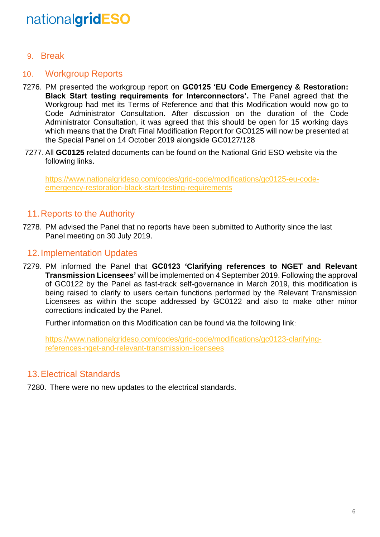9. Break

### 10. Workgroup Reports

- 7276. PM presented the workgroup report on **GC0125 'EU Code Emergency & Restoration: Black Start testing requirements for Interconnectors'.** The Panel agreed that the Workgroup had met its Terms of Reference and that this Modification would now go to Code Administrator Consultation. After discussion on the duration of the Code Administrator Consultation, it was agreed that this should be open for 15 working days which means that the Draft Final Modification Report for GC0125 will now be presented at the Special Panel on 14 October 2019 alongside GC0127/128
- 7277. All **GC0125** related documents can be found on the National Grid ESO website via the following links.

[https://www.nationalgrideso.com/codes/grid-code/modifications/gc0125-eu-code](https://www.nationalgrideso.com/codes/grid-code/modifications/gc0125-eu-code-emergency-restoration-black-start-testing-requirements)[emergency-restoration-black-start-testing-requirements](https://www.nationalgrideso.com/codes/grid-code/modifications/gc0125-eu-code-emergency-restoration-black-start-testing-requirements)

#### 11.Reports to the Authority

7278. PM advised the Panel that no reports have been submitted to Authority since the last Panel meeting on 30 July 2019.

#### 12.Implementation Updates

7279. PM informed the Panel that **GC0123 'Clarifying references to NGET and Relevant Transmission Licensees'** will be implemented on 4 September 2019. Following the approval of GC0122 by the Panel as fast-track self-governance in March 2019, this modification is being raised to clarify to users certain functions performed by the Relevant Transmission Licensees as within the scope addressed by GC0122 and also to make other minor corrections indicated by the Panel.

Further information on this Modification can be found via the following link:

[https://www.nationalgrideso.com/codes/grid-code/modifications/gc0123-clarifying](https://www.nationalgrideso.com/codes/grid-code/modifications/gc0123-clarifying-references-nget-and-relevant-transmission-licensees)[references-nget-and-relevant-transmission-licensees](https://www.nationalgrideso.com/codes/grid-code/modifications/gc0123-clarifying-references-nget-and-relevant-transmission-licensees)

#### 13.Electrical Standards

7280. There were no new updates to the electrical standards.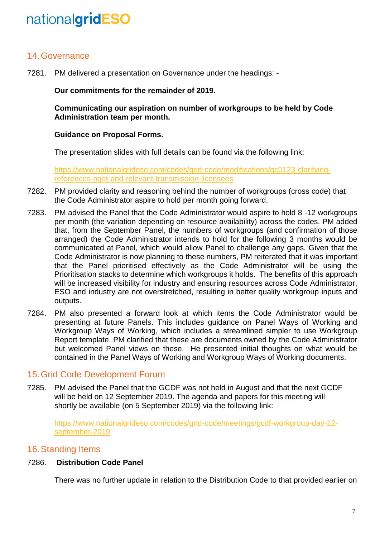### 14.Governance

7281. PM delivered a presentation on Governance under the headings: -

#### **Our commitments for the remainder of 2019.**

**Communicating our aspiration on number of workgroups to be held by Code Administration team per month.**

#### **Guidance on Proposal Forms.**

The presentation slides with full details can be found via the following link:

[https://www.nationalgrideso.com/codes/grid-code/modifications/gc0123-clarifying](https://www.nationalgrideso.com/codes/grid-code/modifications/gc0123-clarifying-references-nget-and-relevant-transmission-licensees)[references-nget-and-relevant-transmission-licensees](https://www.nationalgrideso.com/codes/grid-code/modifications/gc0123-clarifying-references-nget-and-relevant-transmission-licensees)

- 7282. PM provided clarity and reasoning behind the number of workgroups (cross code) that the Code Administrator aspire to hold per month going forward.
- 7283. PM advised the Panel that the Code Administrator would aspire to hold 8 -12 workgroups per month (the variation depending on resource availability) across the codes. PM added that, from the September Panel, the numbers of workgroups (and confirmation of those arranged) the Code Administrator intends to hold for the following 3 months would be communicated at Panel, which would allow Panel to challenge any gaps. Given that the Code Administrator is now planning to these numbers, PM reiterated that it was important that the Panel prioritised effectively as the Code Administrator will be using the Prioritisation stacks to determine which workgroups it holds. The benefits of this approach will be increased visibility for industry and ensuring resources across Code Administrator, ESO and industry are not overstretched, resulting in better quality workgroup inputs and outputs.
- 7284. PM also presented a forward look at which items the Code Administrator would be presenting at future Panels. This includes guidance on Panel Ways of Working and Workgroup Ways of Working, which includes a streamlined simpler to use Workgroup Report template. PM clarified that these are documents owned by the Code Administrator but welcomed Panel views on these. He presented initial thoughts on what would be contained in the Panel Ways of Working and Workgroup Ways of Working documents.

#### 15.Grid Code Development Forum

7285. PM advised the Panel that the GCDF was not held in August and that the next GCDF will be held on 12 September 2019. The agenda and papers for this meeting will shortly be available (on 5 September 2019) via the following link:

[https://www.nationalgrideso.com/codes/grid-code/meetings/gcdf-workgroup-day-12](https://www.nationalgrideso.com/codes/grid-code/meetings/gcdf-workgroup-day-12-september-2019) [september-2019](https://www.nationalgrideso.com/codes/grid-code/meetings/gcdf-workgroup-day-12-september-2019)

#### 16.Standing Items

#### 7286. **Distribution Code Panel**

There was no further update in relation to the Distribution Code to that provided earlier on